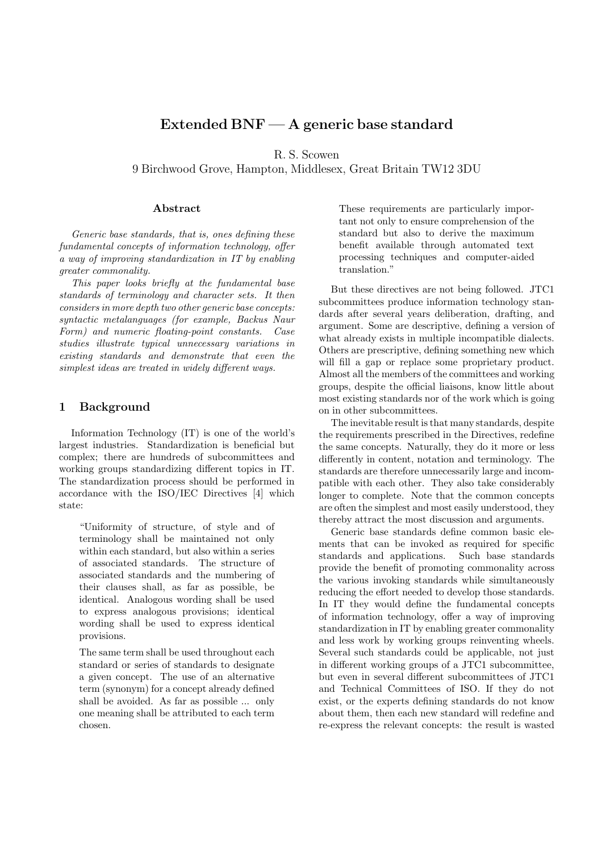# **Extended BNF — A generic base standard**

R. S. Scowen

9 Birchwood Grove, Hampton, Middlesex, Great Britain TW12 3DU

#### **Abstract**

Generic base standards, that is, ones defining these fundamental concepts of information technology, offer a way of improving standardization in IT by enabling greater commonality.

This paper looks briefly at the fundamental base standards of terminology and character sets. It then considers in more depth two other generic base concepts: syntactic metalanguages (for example, Backus Naur Form) and numeric floating-point constants. Case studies illustrate typical unnecessary variations in existing standards and demonstrate that even the simplest ideas are treated in widely different ways.

### **1 Background**

Information Technology (IT) is one of the world's largest industries. Standardization is beneficial but complex; there are hundreds of subcommittees and working groups standardizing different topics in IT. The standardization process should be performed in accordance with the ISO/IEC Directives [4] which state:

"Uniformity of structure, of style and of terminology shall be maintained not only within each standard, but also within a series of associated standards. The structure of associated standards and the numbering of their clauses shall, as far as possible, be identical. Analogous wording shall be used to express analogous provisions; identical wording shall be used to express identical provisions.

The same term shall be used throughout each standard or series of standards to designate a given concept. The use of an alternative term (synonym) for a concept already defined shall be avoided. As far as possible ... only one meaning shall be attributed to each term chosen.

These requirements are particularly important not only to ensure comprehension of the standard but also to derive the maximum benefit available through automated text processing techniques and computer-aided translation."

But these directives are not being followed. JTC1 subcommittees produce information technology standards after several years deliberation, drafting, and argument. Some are descriptive, defining a version of what already exists in multiple incompatible dialects. Others are prescriptive, defining something new which will fill a gap or replace some proprietary product. Almost all the members of the committees and working groups, despite the official liaisons, know little about most existing standards nor of the work which is going on in other subcommittees.

The inevitable result is that many standards, despite the requirements prescribed in the Directives, redefine the same concepts. Naturally, they do it more or less differently in content, notation and terminology. The standards are therefore unnecessarily large and incompatible with each other. They also take considerably longer to complete. Note that the common concepts are often the simplest and most easily understood, they thereby attract the most discussion and arguments.

Generic base standards define common basic elements that can be invoked as required for specific standards and applications. Such base standards provide the benefit of promoting commonality across the various invoking standards while simultaneously reducing the effort needed to develop those standards. In IT they would define the fundamental concepts of information technology, offer a way of improving standardization in IT by enabling greater commonality and less work by working groups reinventing wheels. Several such standards could be applicable, not just in different working groups of a JTC1 subcommittee, but even in several different subcommittees of JTC1 and Technical Committees of ISO. If they do not exist, or the experts defining standards do not know about them, then each new standard will redefine and re-express the relevant concepts: the result is wasted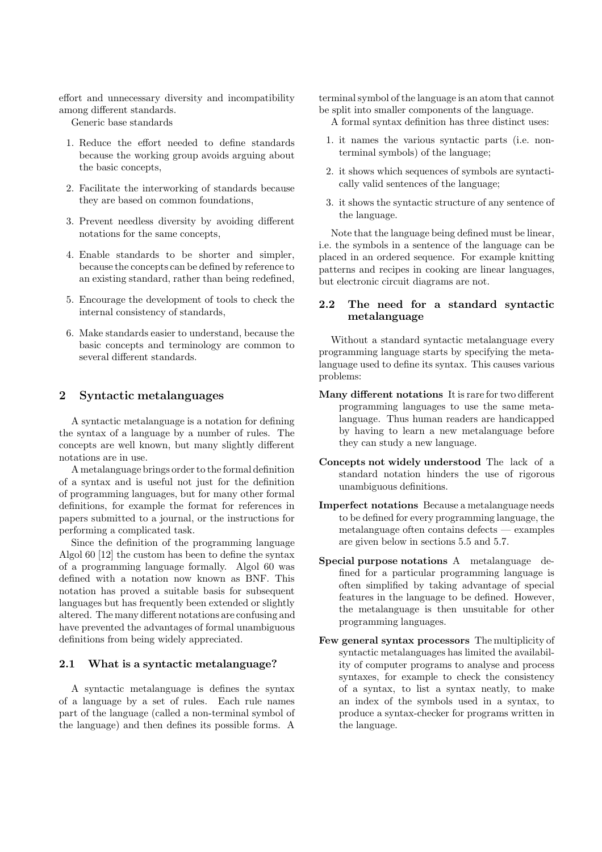effort and unnecessary diversity and incompatibility among different standards.

Generic base standards

- 1. Reduce the effort needed to define standards because the working group avoids arguing about the basic concepts,
- 2. Facilitate the interworking of standards because they are based on common foundations,
- 3. Prevent needless diversity by avoiding different notations for the same concepts,
- 4. Enable standards to be shorter and simpler, because the concepts can be defined by reference to an existing standard, rather than being redefined,
- 5. Encourage the development of tools to check the internal consistency of standards,
- 6. Make standards easier to understand, because the basic concepts and terminology are common to several different standards.

## **2 Syntactic metalanguages**

A syntactic metalanguage is a notation for defining the syntax of a language by a number of rules. The concepts are well known, but many slightly different notations are in use.

A metalanguage brings order to the formal definition of a syntax and is useful not just for the definition of programming languages, but for many other formal definitions, for example the format for references in papers submitted to a journal, or the instructions for performing a complicated task.

Since the definition of the programming language Algol 60 [12] the custom has been to define the syntax of a programming language formally. Algol 60 was defined with a notation now known as BNF. This notation has proved a suitable basis for subsequent languages but has frequently been extended or slightly altered. The many different notations are confusing and have prevented the advantages of formal unambiguous definitions from being widely appreciated.

#### **2.1 What is a syntactic metalanguage?**

A syntactic metalanguage is defines the syntax of a language by a set of rules. Each rule names part of the language (called a non-terminal symbol of the language) and then defines its possible forms. A

terminal symbol of the language is an atom that cannot be split into smaller components of the language.

A formal syntax definition has three distinct uses:

- 1. it names the various syntactic parts (i.e. nonterminal symbols) of the language;
- 2. it shows which sequences of symbols are syntactically valid sentences of the language;
- 3. it shows the syntactic structure of any sentence of the language.

Note that the language being defined must be linear, i.e. the symbols in a sentence of the language can be placed in an ordered sequence. For example knitting patterns and recipes in cooking are linear languages, but electronic circuit diagrams are not.

# **2.2 The need for a standard syntactic metalanguage**

Without a standard syntactic metalanguage every programming language starts by specifying the metalanguage used to define its syntax. This causes various problems:

- **Many different notations** It is rare for two different programming languages to use the same metalanguage. Thus human readers are handicapped by having to learn a new metalanguage before they can study a new language.
- **Concepts not widely understood** The lack of a standard notation hinders the use of rigorous unambiguous definitions.
- **Imperfect notations** Because a metalanguage needs to be defined for every programming language, the metalanguage often contains defects — examples are given below in sections 5.5 and 5.7.
- **Special purpose notations** A metalanguage defined for a particular programming language is often simplified by taking advantage of special features in the language to be defined. However, the metalanguage is then unsuitable for other programming languages.
- **Few general syntax processors** The multiplicity of syntactic metalanguages has limited the availability of computer programs to analyse and process syntaxes, for example to check the consistency of a syntax, to list a syntax neatly, to make an index of the symbols used in a syntax, to produce a syntax-checker for programs written in the language.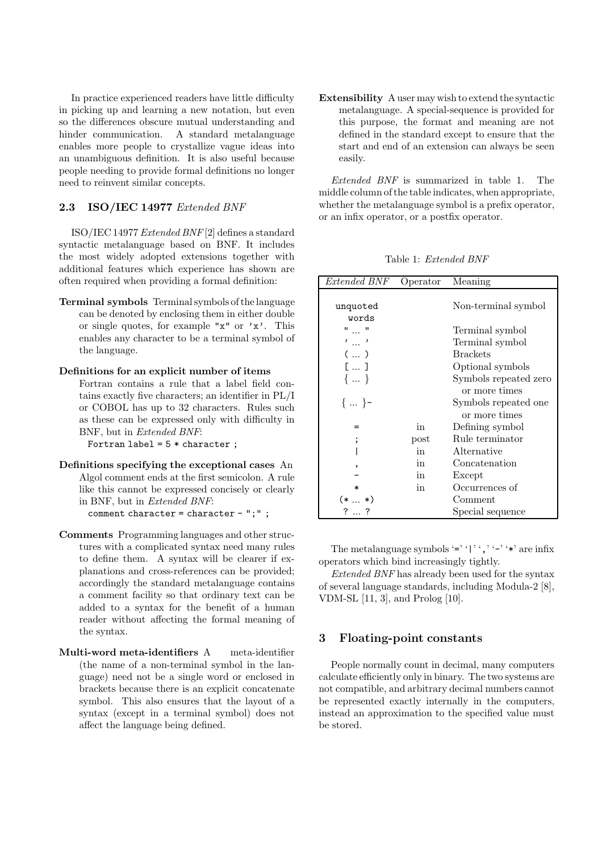In practice experienced readers have little difficulty in picking up and learning a new notation, but even so the differences obscure mutual understanding and hinder communication. A standard metalanguage enables more people to crystallize vague ideas into an unambiguous definition. It is also useful because people needing to provide formal definitions no longer need to reinvent similar concepts.

## **2.3 ISO/IEC 14977** Extended BNF

ISO/IEC 14977 Extended BNF [2] defines a standard syntactic metalanguage based on BNF. It includes the most widely adopted extensions together with additional features which experience has shown are often required when providing a formal definition:

**Terminal symbols** Terminal symbols of the language can be denoted by enclosing them in either double or single quotes, for example "x" or 'x'. This enables any character to be a terminal symbol of the language.

#### **Definitions for an explicit number of items**

Fortran contains a rule that a label field contains exactly five characters; an identifier in PL/I or COBOL has up to 32 characters. Rules such as these can be expressed only with difficulty in BNF, but in Extended BNF:

Fortran label =  $5 *$  character;

- **Definitions specifying the exceptional cases** An Algol comment ends at the first semicolon. A rule like this cannot be expressed concisely or clearly in BNF, but in Extended BNF: comment character = character - ";" ;
- **Comments** Programming languages and other structures with a complicated syntax need many rules to define them. A syntax will be clearer if explanations and cross-references can be provided; accordingly the standard metalanguage contains a comment facility so that ordinary text can be added to a syntax for the benefit of a human reader without affecting the formal meaning of the syntax.
- **Multi-word meta-identifiers** A meta-identifier (the name of a non-terminal symbol in the language) need not be a single word or enclosed in brackets because there is an explicit concatenate symbol. This also ensures that the layout of a syntax (except in a terminal symbol) does not affect the language being defined.

**Extensibility** A user may wish to extend the syntactic metalanguage. A special-sequence is provided for this purpose, the format and meaning are not defined in the standard except to ensure that the start and end of an extension can always be seen easily.

Extended BNF is summarized in table 1. The middle column of the table indicates, when appropriate, whether the metalanguage symbol is a prefix operator, or an infix operator, or a postfix operator.

Table 1: Extended BNF

| Extended BNF      | Operator | Meaning               |  |
|-------------------|----------|-----------------------|--|
| unquoted<br>words |          | Non-terminal symbol   |  |
| "  "              |          | Terminal symbol       |  |
| ,…,               |          | Terminal symbol       |  |
| (  )              |          | <b>Brackets</b>       |  |
| $[ \dots ]$       |          | Optional symbols      |  |
| $\{  \}$          |          | Symbols repeated zero |  |
|                   |          | or more times         |  |
| $\{ \}$ -         |          | Symbols repeated one  |  |
|                   |          | or more times         |  |
|                   | in       | Defining symbol       |  |
|                   | post     | Rule terminator       |  |
|                   | in       | Alternative           |  |
|                   | in       | Concatenation         |  |
|                   | in       | Except                |  |
| $\ast$            | in       | Occurrences of        |  |
| $\ast$ )<br>(* …  |          | Comment               |  |
| ?…?               |          | Special sequence      |  |

The metalanguage symbols '=''|'', '-''\*' are infix operators which bind increasingly tightly.

Extended BNF has already been used for the syntax of several language standards, including Modula-2 [8], VDM-SL [11, 3], and Prolog [10].

# **3 Floating-point constants**

People normally count in decimal, many computers calculate efficiently only in binary. The two systems are not compatible, and arbitrary decimal numbers cannot be represented exactly internally in the computers, instead an approximation to the specified value must be stored.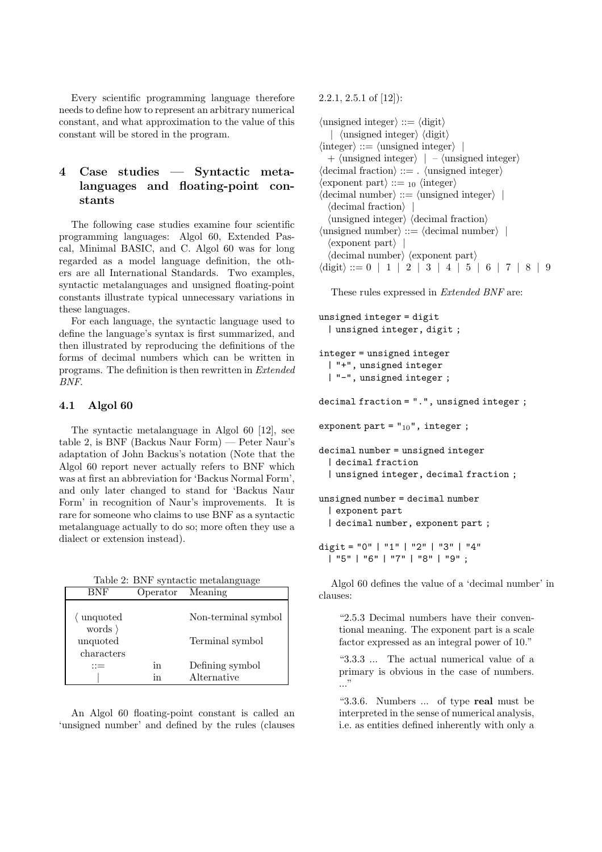Every scientific programming language therefore needs to define how to represent an arbitrary numerical constant, and what approximation to the value of this constant will be stored in the program.

# **4 Case studies — Syntactic metalanguages and floating-point constants**

The following case studies examine four scientific programming languages: Algol 60, Extended Pascal, Minimal BASIC, and C. Algol 60 was for long regarded as a model language definition, the others are all International Standards. Two examples, syntactic metalanguages and unsigned floating-point constants illustrate typical unnecessary variations in these languages.

For each language, the syntactic language used to define the language's syntax is first summarized, and then illustrated by reproducing the definitions of the forms of decimal numbers which can be written in programs. The definition is then rewritten in Extended BNF.

# **4.1 Algol 60**

The syntactic metalanguage in Algol 60 [12], see table 2, is BNF (Backus Naur Form) — Peter Naur's adaptation of John Backus's notation (Note that the Algol 60 report never actually refers to BNF which was at first an abbreviation for 'Backus Normal Form', and only later changed to stand for 'Backus Naur Form' in recognition of Naur's improvements. It is rare for someone who claims to use BNF as a syntactic metalanguage actually to do so; more often they use a dialect or extension instead).

Table 2: BNF syntactic metalanguage

| BNF                                       |          | Operator Meaning               |  |
|-------------------------------------------|----------|--------------------------------|--|
| unquoted                                  |          | Non-terminal symbol            |  |
| words $\rangle$<br>unquoted<br>characters |          | Terminal symbol                |  |
|                                           | in<br>ın | Defining symbol<br>Alternative |  |

An Algol 60 floating-point constant is called an 'unsigned number' and defined by the rules (clauses 2.2.1, 2.5.1 of [12]):

 $\langle$ unsigned integer $\rangle ::= \langle$ digit $\rangle$ |  $\langle$ unsigned integer $\rangle$   $\langle$ digit $\rangle$  $\langle$  integer) ::=  $\langle$  unsigned integer $\rangle$ +  $\langle$ unsigned integer $\rangle$  | –  $\langle$ unsigned integer $\rangle$  $\langle$  decimal fraction $\rangle ::=$ .  $\langle$  unsigned integer $\rangle$  $\langle$  exponent part $\rangle ::=$  10  $\langle$  integer $\rangle$  $\langle$  decimal number $\rangle ::= \langle$  unsigned integer $\rangle$  $\langle$  decimal fraction $\rangle$  $\langle$ unsigned integer $\rangle$   $\langle$  decimal fraction $\rangle$  $\langle$ unsigned number $\rangle ::= \langle$ decimal number $\rangle$  $\langle$  exponent part $\rangle$  |  $\langle$  decimal number $\rangle$   $\langle$  exponent part $\rangle$  $\langle \text{digit} \rangle ::= 0 \mid 1 \mid 2 \mid 3 \mid 4 \mid 5 \mid 6 \mid 7 \mid 8 \mid 9$ 

These rules expressed in Extended BNF are:

```
unsigned integer = digit
  | unsigned integer, digit ;
integer = unsigned integer
 | "+", unsigned integer
 | "-", unsigned integer ;
decimal fraction = ".", unsigned integer ;
exponent part = "_{10}", integer ;
decimal number = unsigned integer
 | decimal fraction
  | unsigned integer, decimal fraction ;
unsigned number = decimal number
 | exponent part
  | decimal number, exponent part ;
digit = "0" | "1" | "2" | "3" | "4"
 | "5" | "6" | "7" | "8" | "9" ;
```
Algol 60 defines the value of a 'decimal number' in clauses:

"2.5.3 Decimal numbers have their conventional meaning. The exponent part is a scale factor expressed as an integral power of 10."

"3.3.3 ... The actual numerical value of a primary is obvious in the case of numbers. ..."

"3.3.6. Numbers ... of type **real** must be interpreted in the sense of numerical analysis, i.e. as entities defined inherently with only a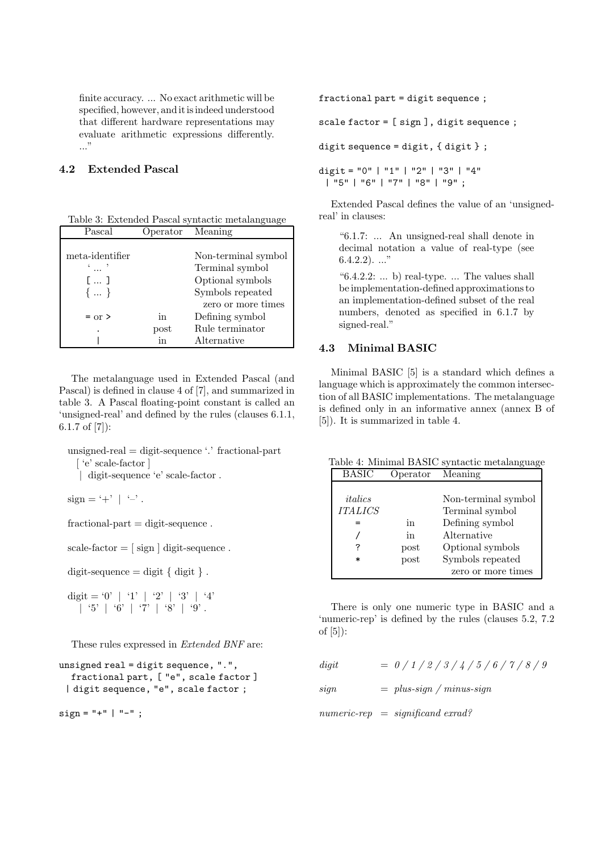finite accuracy. ... No exact arithmetic will be specified, however, and it is indeed understood that different hardware representations may evaluate arithmetic expressions differently. ..."

## **4.2 Extended Pascal**

| Table 3: Extended Pascal syntactic metalanguage |                   |  |
|-------------------------------------------------|-------------------|--|
| <b>P</b> ascal                                  | Concreter Meaning |  |

| r ascar         | ⇔ρ∈ταιοτ           | 1                   |
|-----------------|--------------------|---------------------|
|                 |                    |                     |
| meta-identifier |                    | Non-terminal symbol |
|                 |                    | Terminal symbol     |
| Г 1             |                    | Optional symbols    |
| $\{ \}$         |                    | Symbols repeated    |
|                 |                    | zero or more times  |
| $=$ or $>$      | in                 | Defining symbol     |
| ٠               | $_{\mathrm{post}}$ | Rule terminator     |
|                 | in                 | Alternative         |

The metalanguage used in Extended Pascal (and Pascal) is defined in clause 4 of [7], and summarized in table 3. A Pascal floating-point constant is called an 'unsigned-real' and defined by the rules (clauses 6.1.1, 6.1.7 of [7]):

unsigned-real = digit-sequence '.' fractional-part [ 'e' scale-factor ] | digit-sequence 'e' scale-factor .

 $sign = '+' \mid '-'$ .

 $fractional-part = digit-sequence.$ 

scale-factor  $=$  [ sign ] digit-sequence.

digit-sequence  $=$  digit  $\{$  digit  $\}$ .

digit = '0' | '1' | '2' | '3' | '4' | '5' | '6' | '7' | '8' | '9' .

These rules expressed in Extended BNF are:

```
unsigned real = digit sequence, ".",
  fractional part, [ "e", scale factor ]
 | digit sequence, "e", scale factor ;
```
 $sign = "+" | "--":$ 

fractional part = digit sequence ;

scale factor = [ sign ], digit sequence ;

digit sequence = digit,  $\{$  digit  $\}$ ;

digit = "0" | "1" | "2" | "3" | "4" | "5" | "6" | "7" | "8" | "9" ;

Extended Pascal defines the value of an 'unsignedreal' in clauses:

"6.1.7: ... An unsigned-real shall denote in decimal notation a value of real-type (see  $6.4.2.2$ ). ..."

" $6.4.2.2: ...$  b) real-type. ... The values shall be implementation-defined approximations to an implementation-defined subset of the real numbers, denoted as specified in 6.1.7 by signed-real."

# **4.3 Minimal BASIC**

Minimal BASIC [5] is a standard which defines a language which is approximately the common intersection of all BASIC implementations. The metalanguage is defined only in an informative annex (annex B of [5]). It is summarized in table 4.

Table 4: Minimal BASIC syntactic metalanguage BASIC Operator Meaning italics Non-terminal symbol ITALICS Terminal symbol = in Defining symbol / in Alternative ? post Optional symbols post Symbols repeated zero or more times

There is only one numeric type in BASIC and a 'numeric-rep' is defined by the rules (clauses 5.2, 7.2 of [5]):

digit =  $0/1/2/3/4/5/6/7/8/9$ 

 $sign \qquad = \text{plus-sign / minus-sign}$ 

 $numeric-rep = significant\,errad?$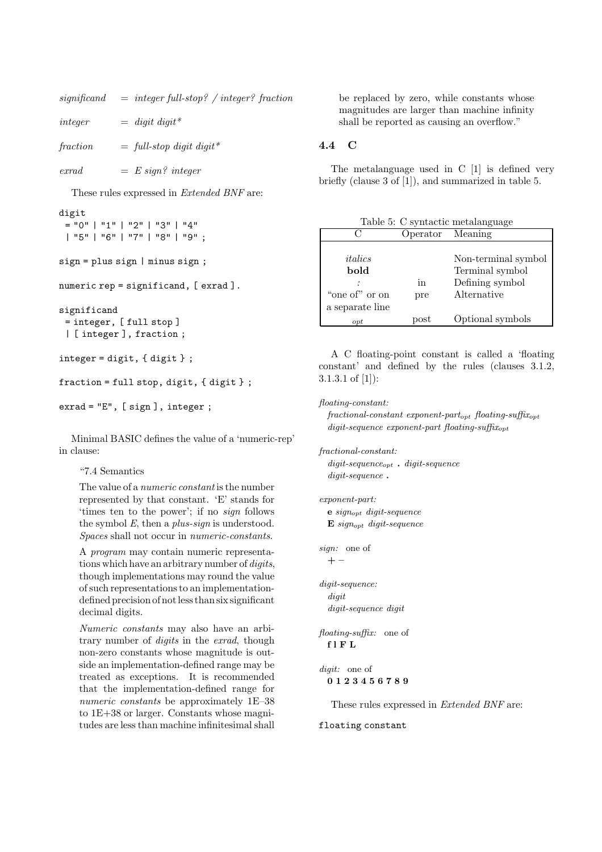| significand | $=$ integer full-stop? / integer? fraction |  |
|-------------|--------------------------------------------|--|
| integer     | $=$ digit digit*                           |  |
| fraction    | $=$ full-stop digit digit*                 |  |

 $\text{errad} = E \, \text{sign?} \, \text{integer}$ 

These rules expressed in Extended BNF are:

# digit  $=$  "0" | "1" | "2" | "3" | "4"

```
| "5" | "6" | "7" | "8" | "9" ;
sign = plus sign | minus sign ;
```
numeric rep = significand, [ exrad ].

```
significand
 = integer, [ full stop ]
 | [ integer ], fraction ;
```

```
integer = digit, { digit } ;
```

```
fraction = full stop, digit, { digit};
```

```
exrad = "E", [ sign ], integer ;
```
Minimal BASIC defines the value of a 'numeric-rep' in clause:

"7.4 Semantics

The value of a numeric constant is the number represented by that constant. 'E' stands for 'times ten to the power'; if no sign follows the symbol E, then a *plus-sign* is understood. Spaces shall not occur in numeric-constants.

A program may contain numeric representations which have an arbitrary number of digits, though implementations may round the value of such representations to an implementationdefined precision of not less than six significant decimal digits.

Numeric constants may also have an arbitrary number of digits in the exrad, though non-zero constants whose magnitude is outside an implementation-defined range may be treated as exceptions. It is recommended that the implementation-defined range for numeric constants be approximately 1E–38 to 1E+38 or larger. Constants whose magnitudes are less than machine infinitesimal shall be replaced by zero, while constants whose magnitudes are larger than machine infinity shall be reported as causing an overflow."

# **4.4 C**

The metalanguage used in C [1] is defined very briefly (clause 3 of [1]), and summarized in table 5.

Table 5: C syntactic metalanguage Operator

|                 | ◡ ↩ ◡ ~ ~~         | 11100111117         |
|-----------------|--------------------|---------------------|
|                 |                    |                     |
| italics         |                    | Non-terminal symbol |
| bold            |                    | Terminal symbol     |
|                 | in                 | Defining symbol     |
| "one of" or on  | pre                | Alternative         |
| a separate line |                    |                     |
| $_{opt}$        | $_{\mathrm{post}}$ | Optional symbols    |

A C floating-point constant is called a 'floating constant' and defined by the rules (clauses 3.1.2, 3.1.3.1 of [1]):

floating-constant:

 $fractional-constant exponent-part_{opt}$  floating-suffix<sub>opt</sub>  $digit\text{-}sequence$  exponent-part floating-suffix<sub>opt</sub>

fractional-constant:  $digit\text{-}sequence_{opt}$  .  $digit\text{-}sequence$ digit-sequence **.**

exponent-part: **e** signopt digit-sequence **E** signopt digit-sequence

sign: one of **+ –**

digit-sequence: digit digit-sequence digit

floating-suffix: one of **flFL**

digit: one of **0123456789**

These rules expressed in Extended BNF are:

floating constant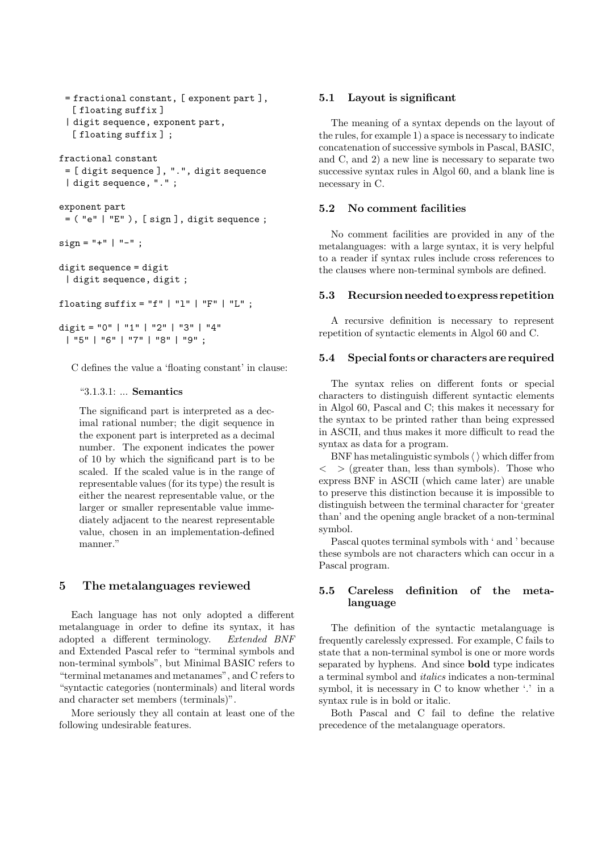```
= fractional constant, [ exponent part ],
  [floating suffix]
 | digit sequence, exponent part,
  [floating suffix];
fractional constant
 = [ digit sequence ], ".", digit sequence
 | digit sequence, "." ;
exponent part
 = ("e" | "E"), [sign], digit sequence;
sign = "+" | "--";digit sequence = digit
 | digit sequence, digit ;
floating suffix = "f" | "l" | "F" | "L";
digit = "0" | "1" | "2" | "3" | "4"
 | "5" | "6" | "7" | "8" | "9" ;
```
C defines the value a 'floating constant' in clause:

#### "3.1.3.1: ... **Semantics**

The significand part is interpreted as a decimal rational number; the digit sequence in the exponent part is interpreted as a decimal number. The exponent indicates the power of 10 by which the significand part is to be scaled. If the scaled value is in the range of representable values (for its type) the result is either the nearest representable value, or the larger or smaller representable value immediately adjacent to the nearest representable value, chosen in an implementation-defined manner."

# **5 The metalanguages reviewed**

Each language has not only adopted a different metalanguage in order to define its syntax, it has adopted a different terminology. Extended BNF and Extended Pascal refer to "terminal symbols and non-terminal symbols", but Minimal BASIC refers to "terminal metanames and metanames", and C refers to "syntactic categories (nonterminals) and literal words and character set members (terminals)".

More seriously they all contain at least one of the following undesirable features.

# **5.1 Layout is significant**

The meaning of a syntax depends on the layout of the rules, for example 1) a space is necessary to indicate concatenation of successive symbols in Pascal, BASIC, and C, and 2) a new line is necessary to separate two successive syntax rules in Algol 60, and a blank line is necessary in C.

# **5.2 No comment facilities**

No comment facilities are provided in any of the metalanguages: with a large syntax, it is very helpful to a reader if syntax rules include cross references to the clauses where non-terminal symbols are defined.

### **5.3 Recursion needed to express repetition**

A recursive definition is necessary to represent repetition of syntactic elements in Algol 60 and C.

### **5.4 Special fonts or characters are required**

The syntax relies on different fonts or special characters to distinguish different syntactic elements in Algol 60, Pascal and C; this makes it necessary for the syntax to be printed rather than being expressed in ASCII, and thus makes it more difficult to read the syntax as data for a program.

BNF has metalinguistic symbols  $\langle \ \rangle$  which differ from  $\langle \rangle$  > (greater than, less than symbols). Those who express BNF in ASCII (which came later) are unable to preserve this distinction because it is impossible to distinguish between the terminal character for 'greater than' and the opening angle bracket of a non-terminal symbol.

Pascal quotes terminal symbols with ' and ' because these symbols are not characters which can occur in a Pascal program.

# **5.5 Careless definition of the metalanguage**

The definition of the syntactic metalanguage is frequently carelessly expressed. For example, C fails to state that a non-terminal symbol is one or more words separated by hyphens. And since **bold** type indicates a terminal symbol and italics indicates a non-terminal symbol, it is necessary in C to know whether '.' in a syntax rule is in bold or italic.

Both Pascal and C fail to define the relative precedence of the metalanguage operators.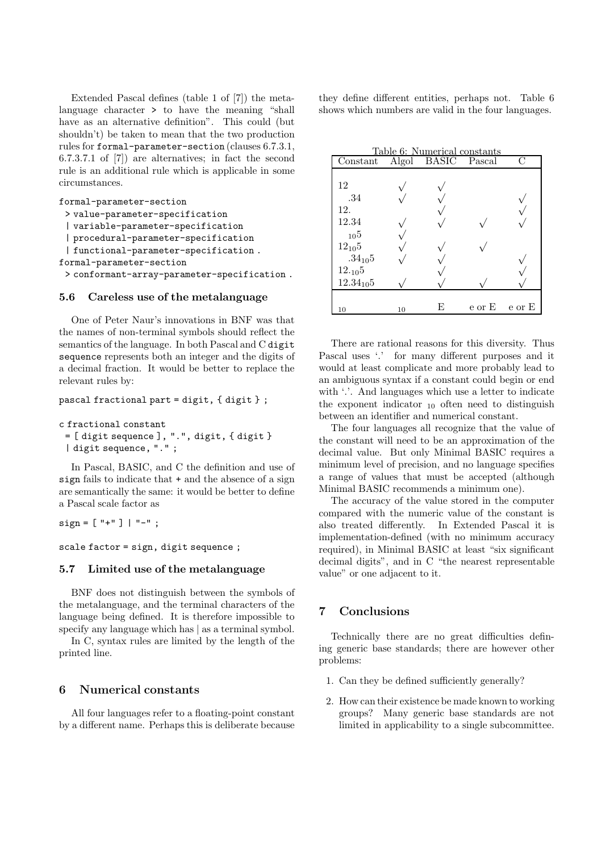Extended Pascal defines (table 1 of [7]) the metalanguage character > to have the meaning "shall have as an alternative definition". This could (but shouldn't) be taken to mean that the two production rules for formal-parameter-section (clauses 6.7.3.1, 6.7.3.7.1 of [7]) are alternatives; in fact the second rule is an additional rule which is applicable in some circumstances.

```
formal-parameter-section
 > value-parameter-specification
 | variable-parameter-specification
 | procedural-parameter-specification
 | functional-parameter-specification .
formal-parameter-section
 > conformant-array-parameter-specification .
```
#### **5.6 Careless use of the metalanguage**

One of Peter Naur's innovations in BNF was that the names of non-terminal symbols should reflect the semantics of the language. In both Pascal and C digit sequence represents both an integer and the digits of a decimal fraction. It would be better to replace the relevant rules by:

#### pascal fractional part = digit, { digit } ;

c fractional constant

= [ digit sequence ], ".", digit, { digit } | digit sequence, "." ;

In Pascal, BASIC, and C the definition and use of sign fails to indicate that + and the absence of a sign are semantically the same: it would be better to define a Pascal scale factor as

 $sign = [\nVert + \nVert] | \nVert - \nVert;$ 

# scale factor = sign, digit sequence ;

### **5.7 Limited use of the metalanguage**

BNF does not distinguish between the symbols of the metalanguage, and the terminal characters of the language being defined. It is therefore impossible to specify any language which has  $\vert$  as a terminal symbol.

In C, syntax rules are limited by the length of the printed line.

#### **6 Numerical constants**

All four languages refer to a floating-point constant by a different name. Perhaps this is deliberate because they define different entities, perhaps not. Table 6 shows which numbers are valid in the four languages.

| Table 6: Numerical constants |    |                    |                       |   |
|------------------------------|----|--------------------|-----------------------|---|
| Constant                     |    | Algol BASIC Pascal |                       | C |
|                              |    |                    |                       |   |
| 12                           |    |                    |                       |   |
| .34                          |    |                    |                       |   |
| 12.                          |    |                    |                       |   |
| 12.34                        |    |                    |                       |   |
| $10^{5}$                     |    |                    |                       |   |
| $12_{10}5$                   |    |                    |                       |   |
| $.34_{10}5$                  |    |                    |                       |   |
| 12.105                       |    |                    |                       |   |
| $12.34_{10}5$                |    |                    |                       |   |
|                              |    |                    |                       |   |
| 10                           | 10 | F,                 | $e$ or $E$ $e$ or $E$ |   |

There are rational reasons for this diversity. Thus Pascal uses '.' for many different purposes and it would at least complicate and more probably lead to an ambiguous syntax if a constant could begin or end with  $\therefore$  And languages which use a letter to indicate the exponent indicator  $_{10}$  often need to distinguish between an identifier and numerical constant.

The four languages all recognize that the value of the constant will need to be an approximation of the decimal value. But only Minimal BASIC requires a minimum level of precision, and no language specifies a range of values that must be accepted (although Minimal BASIC recommends a minimum one).

The accuracy of the value stored in the computer compared with the numeric value of the constant is also treated differently. In Extended Pascal it is implementation-defined (with no minimum accuracy required), in Minimal BASIC at least "six significant decimal digits", and in C "the nearest representable value" or one adjacent to it.

# **7 Conclusions**

Technically there are no great difficulties defining generic base standards; there are however other problems:

- 1. Can they be defined sufficiently generally?
- 2. How can their existence be made known to working groups? Many generic base standards are not limited in applicability to a single subcommittee.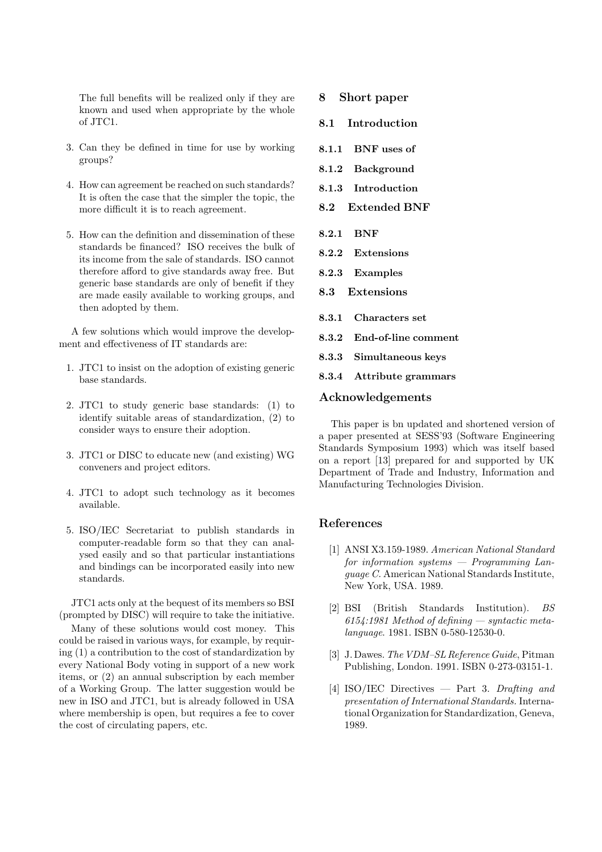The full benefits will be realized only if they are known and used when appropriate by the whole of JTC1.

- 3. Can they be defined in time for use by working groups?
- 4. How can agreement be reached on such standards? It is often the case that the simpler the topic, the more difficult it is to reach agreement.
- 5. How can the definition and dissemination of these standards be financed? ISO receives the bulk of its income from the sale of standards. ISO cannot therefore afford to give standards away free. But generic base standards are only of benefit if they are made easily available to working groups, and then adopted by them.

A few solutions which would improve the development and effectiveness of IT standards are:

- 1. JTC1 to insist on the adoption of existing generic base standards.
- 2. JTC1 to study generic base standards: (1) to identify suitable areas of standardization, (2) to consider ways to ensure their adoption.
- 3. JTC1 or DISC to educate new (and existing) WG conveners and project editors.
- 4. JTC1 to adopt such technology as it becomes available.
- 5. ISO/IEC Secretariat to publish standards in computer-readable form so that they can analysed easily and so that particular instantiations and bindings can be incorporated easily into new standards.

JTC1 acts only at the bequest of its members so BSI (prompted by DISC) will require to take the initiative.

Many of these solutions would cost money. This could be raised in various ways, for example, by requiring (1) a contribution to the cost of standardization by every National Body voting in support of a new work items, or (2) an annual subscription by each member of a Working Group. The latter suggestion would be new in ISO and JTC1, but is already followed in USA where membership is open, but requires a fee to cover the cost of circulating papers, etc.

- **8 Short paper**
- **8.1 Introduction**
- **8.1.1 BNF uses of**
- **8.1.2 Background**
- **8.1.3 Introduction**
- **8.2 Extended BNF**
- **8.2.1 BNF**
- **8.2.2 Extensions**
- **8.2.3 Examples**
- **8.3 Extensions**
- **8.3.1 Characters set**
- **8.3.2 End-of-line comment**
- **8.3.3 Simultaneous keys**
- **8.3.4 Attribute grammars**

### **Acknowledgements**

This paper is bn updated and shortened version of a paper presented at SESS'93 (Software Engineering Standards Symposium 1993) which was itself based on a report [13] prepared for and supported by UK Department of Trade and Industry, Information and Manufacturing Technologies Division.

## **References**

- [1] ANSI X3.159-1989. American National Standard for information systems  $-$  Programming Language C. American National Standards Institute, New York, USA. 1989.
- [2] BSI (British Standards Institution). BS  $6154:1981$  Method of defining — syntactic metalanguage. 1981. ISBN 0-580-12530-0.
- [3] J. Dawes. The VDM–SL Reference Guide, Pitman Publishing, London. 1991. ISBN 0-273-03151-1.
- [4] ISO/IEC Directives Part 3. Drafting and presentation of International Standards. International Organization for Standardization, Geneva, 1989.